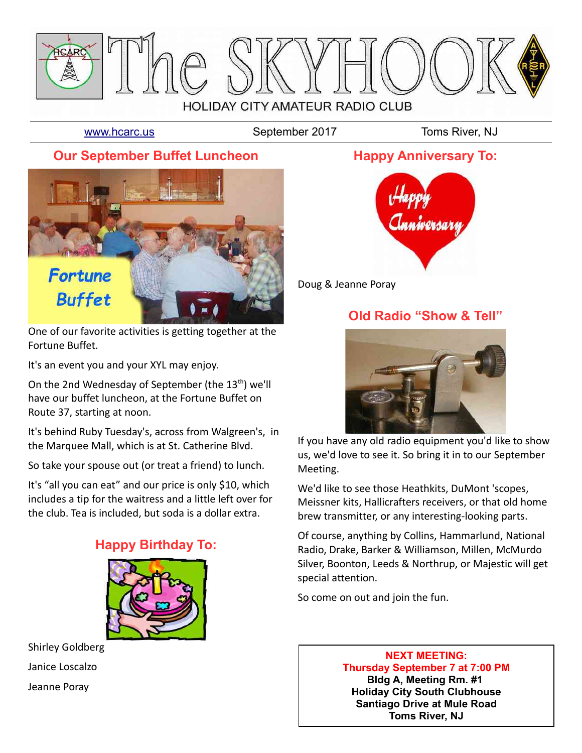

[www.hcarc.us](http://www.hcarc.us/) September 2017 Toms River, NJ

# **Our September Buffet Luncheon**



One of our favorite activities is getting together at the Fortune Buffet.

It's an event you and your XYL may enjoy.

On the 2nd Wednesday of September (the  $13<sup>th</sup>$ ) we'll have our buffet luncheon, at the Fortune Buffet on Route 37, starting at noon.

It's behind Ruby Tuesday's, across from Walgreen's, in the Marquee Mall, which is at St. Catherine Blvd.

So take your spouse out (or treat a friend) to lunch.

It's "all you can eat" and our price is only \$10, which includes a tip for the waitress and a little left over for the club. Tea is included, but soda is a dollar extra.

# **Happy Birthday To:**



Shirley Goldberg Janice Loscalzo Jeanne Poray

# **Happy Anniversary To:**



Doug & Jeanne Poray

## **Old Radio "Show & Tell"**



If you have any old radio equipment you'd like to show us, we'd love to see it. So bring it in to our September Meeting.

We'd like to see those Heathkits, DuMont 'scopes, Meissner kits, Hallicrafters receivers, or that old home brew transmitter, or any interesting-looking parts.

Of course, anything by Collins, Hammarlund, National Radio, Drake, Barker & Williamson, Millen, McMurdo Silver, Boonton, Leeds & Northrup, or Majestic will get special attention.

So come on out and join the fun.

**NEXT MEETING: Thursday September 7 at 7:00 PM Bldg A, Meeting Rm. #1 Holiday City South Clubhouse Santiago Drive at Mule Road Toms River, NJ**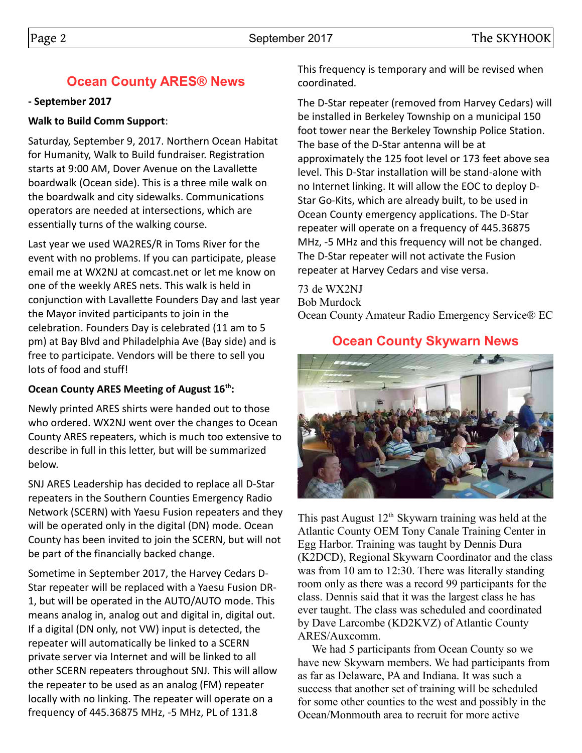# **Ocean County ARES® News**

### **- September 2017**

### **Walk to Build Comm Support**:

Saturday, September 9, 2017. Northern Ocean Habitat for Humanity, Walk to Build fundraiser. Registration starts at 9:00 AM, Dover Avenue on the Lavallette boardwalk (Ocean side). This is a three mile walk on the boardwalk and city sidewalks. Communications operators are needed at intersections, which are essentially turns of the walking course.

Last year we used WA2RES/R in Toms River for the event with no problems. If you can participate, please email me at WX2NJ at comcast.net or let me know on one of the weekly ARES nets. This walk is held in conjunction with Lavallette Founders Day and last year the Mayor invited participants to join in the celebration. Founders Day is celebrated (11 am to 5 pm) at Bay Blvd and Philadelphia Ave (Bay side) and is free to participate. Vendors will be there to sell you lots of food and stuff!

### **Ocean County ARES Meeting of August 16th:**

Newly printed ARES shirts were handed out to those who ordered. WX2NJ went over the changes to Ocean County ARES repeaters, which is much too extensive to describe in full in this letter, but will be summarized below.

SNJ ARES Leadership has decided to replace all D-Star repeaters in the Southern Counties Emergency Radio Network (SCERN) with Yaesu Fusion repeaters and they will be operated only in the digital (DN) mode. Ocean County has been invited to join the SCERN, but will not be part of the financially backed change.

Sometime in September 2017, the Harvey Cedars D-Star repeater will be replaced with a Yaesu Fusion DR-1, but will be operated in the AUTO/AUTO mode. This means analog in, analog out and digital in, digital out. If a digital (DN only, not VW) input is detected, the repeater will automatically be linked to a SCERN private server via Internet and will be linked to all other SCERN repeaters throughout SNJ. This will allow the repeater to be used as an analog (FM) repeater locally with no linking. The repeater will operate on a frequency of 445.36875 MHz, -5 MHz, PL of 131.8

This frequency is temporary and will be revised when coordinated.

The D-Star repeater (removed from Harvey Cedars) will be installed in Berkeley Township on a municipal 150 foot tower near the Berkeley Township Police Station. The base of the D-Star antenna will be at approximately the 125 foot level or 173 feet above sea level. This D-Star installation will be stand-alone with no Internet linking. It will allow the EOC to deploy D-Star Go-Kits, which are already built, to be used in Ocean County emergency applications. The D-Star repeater will operate on a frequency of 445.36875 MHz, -5 MHz and this frequency will not be changed. The D-Star repeater will not activate the Fusion repeater at Harvey Cedars and vise versa.

73 de WX2NJ Bob Murdock Ocean County Amateur Radio Emergency Service® EC

### **Ocean County Skywarn News**



This past August  $12<sup>th</sup>$  Skywarn training was held at the Atlantic County OEM Tony Canale Training Center in Egg Harbor. Training was taught by Dennis Dura (K2DCD), Regional Skywarn Coordinator and the class was from 10 am to 12:30. There was literally standing room only as there was a record 99 participants for the class. Dennis said that it was the largest class he has ever taught. The class was scheduled and coordinated by Dave Larcombe (KD2KVZ) of Atlantic County ARES/Auxcomm.

We had 5 participants from Ocean County so we have new Skywarn members. We had participants from as far as Delaware, PA and Indiana. It was such a success that another set of training will be scheduled for some other counties to the west and possibly in the Ocean/Monmouth area to recruit for more active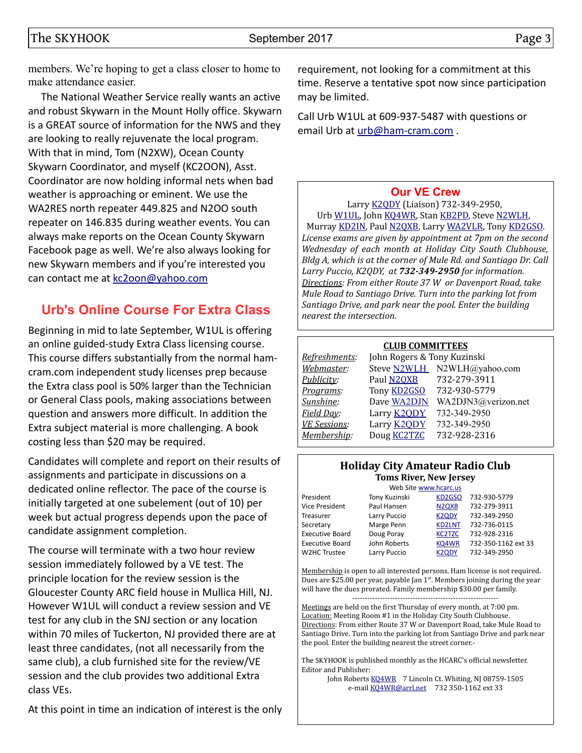members. We're hoping to get a class closer to home to make attendance easier.

 The National Weather Service really wants an active and robust Skywarn in the Mount Holly office. Skywarn is a GREAT source of information for the NWS and they are looking to really rejuvenate the local program. With that in mind, Tom (N2XW), Ocean County Skywarn Coordinator, and myself (KC2OON), Asst. Coordinator are now holding informal nets when bad weather is approaching or eminent. We use the WA2RES north repeater 449.825 and N2OO south repeater on 146.835 during weather events. You can always make reports on the Ocean County Skywarn Facebook page as well. We're also always looking for new Skywarn members and if you're interested you can contact me at [kc2oon@yahoo.com](mailto:kc2oon@yahoo.com)

# **Urb's Online Course For Extra Class**

Beginning in mid to late September, W1UL is offering an online guided-study Extra Class licensing course. This course differs substantially from the normal hamcram.com independent study licenses prep because the Extra class pool is 50% larger than the Technician or General Class pools, making associations between question and answers more difficult. In addition the Extra subject material is more challenging. A book costing less than \$20 may be required.

Candidates will complete and report on their results of assignments and participate in discussions on a dedicated online reflector. The pace of the course is initially targeted at one subelement (out of 10) per week but actual progress depends upon the pace of candidate assignment completion.

The course will terminate with a two hour review session immediately followed by a VE test. The principle location for the review session is the Gloucester County ARC field house in Mullica Hill, NJ. However W1UL will conduct a review session and VE test for any club in the SNJ section or any location within 70 miles of Tuckerton, NJ provided there are at least three candidates, (not all necessarily from the same club), a club furnished site for the review/VE session and the club provides two additional Extra class VEs.

At this point in time an indication of interest is the only

requirement, not looking for a commitment at this time. Reserve a tentative spot now since participation may be limited.

Call Urb W1UL at 609-937-5487 with questions or email Urb at urb@ham-cram.com.

### **[Our VE Crew](mailto:lpuccio1@comcast.net?subject=VE)**

Larry [K2QDY](mailto:lpuccio1@comcast.net) (Liaison) 732-349-2950, Urb [W1UL,](mailto:urb@W1UL.com) John [KQ4WR,](mailto:kq4wr@arrl.net) Stan [KB2PD,](mailto:kb2pd@hotmail.com) Steve [N2WLH,](mailto:n2wlh@yahoo.com) Murray [KD2IN,](mailto:murraykd2in@comcast.net) Paul [N2QXB,](mailto:n2qxb@juno.com) Larry [WA2VLR,](mailto:lloscalz@optonline.net) Tony [KD2GSO.](mailto:tonyk613@comcast.net) *License exams are given by appointment at 7pm on the second Wednesday of each month at Holiday City South Clubhouse, Bldg A, which is at the corner of Mule Rd. and Santiago Dr. Call Larry Puccio, K2QDY, at 732-349-2950 for information. Directions: From either Route 37 W or Davenport Road, take Mule Road to Santiago Drive. Turn into the parking lot from Santiago Drive, and park near the pool. Enter the building nearest the intersection.*

#### **CLUB COMMITTEES**

| Refreshments:       | John Rogers & Tony Kuzinski |                             |  |  |  |  |
|---------------------|-----------------------------|-----------------------------|--|--|--|--|
| Webmaster:          |                             | Steve N2WLH N2WLH@yahoo.com |  |  |  |  |
| Publicity:          | Paul N2QXB                  | 732-279-3911                |  |  |  |  |
| Programs:           | Tony <b>KD2GSO</b>          | 732-930-5779                |  |  |  |  |
| Sunshine:           | Dave WA2DJN                 | WA2DJN3@verizon.net         |  |  |  |  |
| Field Day:          | Larry <b>K2QDY</b>          | 732-349-2950                |  |  |  |  |
| <b>VE Sessions:</b> | Larry <b>K2ODY</b>          | 732-349-2950                |  |  |  |  |
| Membership:         | Doug <b>KC2TZC</b>          | 732-928-2316                |  |  |  |  |
|                     |                             |                             |  |  |  |  |

#### **Holiday City Amateur Radio Club Toms River, New Jersey**

| Web Site www.hcarc.us  |               |                                |                     |  |  |  |  |
|------------------------|---------------|--------------------------------|---------------------|--|--|--|--|
| President              | Tony Kuzinski | KD <sub>2</sub> GSO            | 732-930-5779        |  |  |  |  |
| Vice President         | Paul Hansen   | N <sub>2</sub> Q <sub>XB</sub> | 732-279-3911        |  |  |  |  |
| Treasurer              | Larry Puccio  | K <sub>2</sub> ODY             | 732-349-2950        |  |  |  |  |
| Secretary              | Marge Penn    | <b>KD2LNT</b>                  | 732-736-0115        |  |  |  |  |
| <b>Executive Board</b> | Doug Poray    | <b>KC2TZC</b>                  | 732-928-2316        |  |  |  |  |
| <b>Executive Board</b> | John Roberts  | KQ4WR                          | 732-350-1162 ext 33 |  |  |  |  |
| W2HC Trustee           | Larry Puccio  | K <sub>2</sub> ODY             | 732-349-2950        |  |  |  |  |
|                        |               |                                |                     |  |  |  |  |

Membership is open to all interested persons. Ham license is not required. Dues are \$25.00 per year, payable Jan 1<sup>st</sup>. Members joining during the year will have the dues prorated. Family membership \$30.00 per family. ----------------------------------------------------------

Meetings are held on the first Thursday of every month, at 7:00 pm. Location: Meeting Room #1 in the Holiday City South Clubhouse. Directions: From either Route 37 W or Davenport Road, take Mule Road to Santiago Drive. Turn into the parking lot from Santiago Drive and park near the pool. Enter the building nearest the street corner.-

The SKYHOOK is published monthly as the HCARC's official newsletter. Editor and Publisher:

> John Roberts [KQ4WR](mailto:kq4wr@arrl.net) 7 Lincoln Ct. Whiting, NJ 08759-1505 e-mail [KQ4WR@arrl.net](mailto:KQ4WR@arrl.net) 732 350-1162 ext 33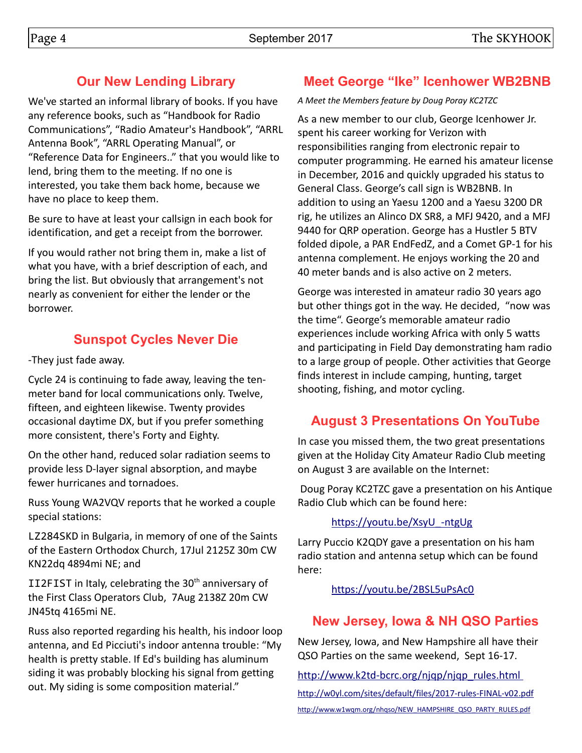# **Our New Lending Library**

We've started an informal library of books. If you have any reference books, such as "Handbook for Radio Communications", "Radio Amateur's Handbook", "ARRL Antenna Book", "ARRL Operating Manual", or "Reference Data for Engineers.." that you would like to lend, bring them to the meeting. If no one is interested, you take them back home, because we have no place to keep them.

Be sure to have at least your callsign in each book for identification, and get a receipt from the borrower.

If you would rather not bring them in, make a list of what you have, with a brief description of each, and bring the list. But obviously that arrangement's not nearly as convenient for either the lender or the borrower.

# **Sunspot Cycles Never Die**

-They just fade away.

Cycle 24 is continuing to fade away, leaving the tenmeter band for local communications only. Twelve, fifteen, and eighteen likewise. Twenty provides occasional daytime DX, but if you prefer something more consistent, there's Forty and Eighty.

On the other hand, reduced solar radiation seems to provide less D-layer signal absorption, and maybe fewer hurricanes and tornadoes.

Russ Young WA2VQV reports that he worked a couple special stations:

LZ284SKD in Bulgaria, in memory of one of the Saints of the Eastern Orthodox Church, 17Jul 2125Z 30m CW KN22dq 4894mi NE; and

II2FIST in Italy, celebrating the  $30<sup>th</sup>$  anniversary of the First Class Operators Club, 7Aug 2138Z 20m CW JN45tq 4165mi NE.

Russ also reported regarding his health, his indoor loop antenna, and Ed Picciuti's indoor antenna trouble: "My health is pretty stable. If Ed's building has aluminum siding it was probably blocking his signal from getting out. My siding is some composition material."

## **Meet George "Ike" Icenhower WB2BNB**

*A Meet the Members feature by Doug Poray KC2TZC*

As a new member to our club, George Icenhower Jr. spent his career working for Verizon with responsibilities ranging from electronic repair to computer programming. He earned his amateur license in December, 2016 and quickly upgraded his status to General Class. George's call sign is WB2BNB. In addition to using an Yaesu 1200 and a Yaesu 3200 DR rig, he utilizes an Alinco DX SR8, a MFJ 9420, and a MFJ 9440 for QRP operation. George has a Hustler 5 BTV folded dipole, a PAR EndFedZ, and a Comet GP-1 for his antenna complement. He enjoys working the 20 and 40 meter bands and is also active on 2 meters.

George was interested in amateur radio 30 years ago but other things got in the way. He decided, "now was the time". George's memorable amateur radio experiences include working Africa with only 5 watts and participating in Field Day demonstrating ham radio to a large group of people. Other activities that George finds interest in include camping, hunting, target shooting, fishing, and motor cycling.

# **August 3 Presentations On YouTube**

In case you missed them, the two great presentations given at the Holiday City Amateur Radio Club meeting on August 3 are available on the Internet:

 Doug Poray KC2TZC gave a presentation on his Antique Radio Club which can be found here:

### [https://youtu.be/XsyU\\_-ntgUg](https://youtu.be/XsyU_-ntgUg)

Larry Puccio K2QDY gave a presentation on his ham radio station and antenna setup which can be found here:

<https://youtu.be/2BSL5uPsAc0>

# **New Jersey, Iowa & NH QSO Parties**

New Jersey, Iowa, and New Hampshire all have their QSO Parties on the same weekend, Sept 16-17.

[http://www.k2td-bcrc.org/njqp/njqp\\_rules.html](http://www.k2td-bcrc.org/njqp/njqp_rules.html%20)  <http://w0yl.com/sites/default/files/2017-rules-FINAL-v02.pdf> [http://www.w1wqm.org/nhqso/NEW\\_HAMPSHIRE\\_QSO\\_PARTY\\_RULES.pdf](http://www.w1wqm.org/nhqso/NEW_HAMPSHIRE_QSO_PARTY_RULES.pdf)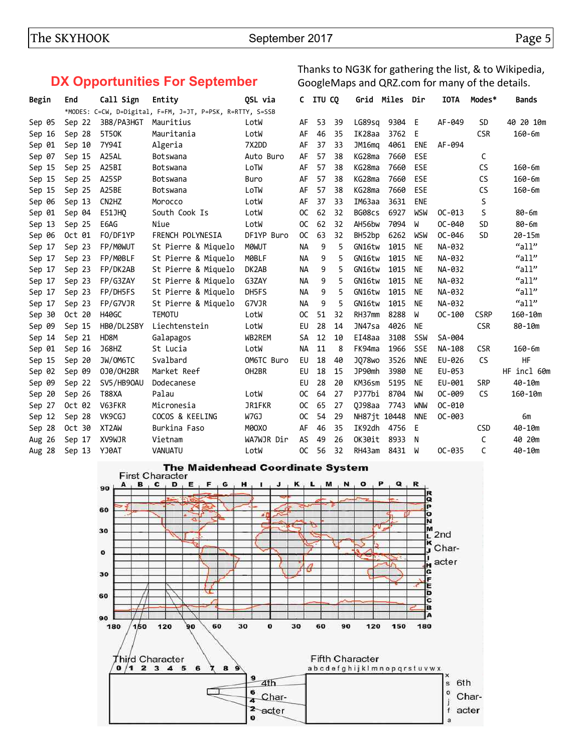Thanks to NG3K for gathering the list, & to Wikipedia, GoogleMaps and QRZ.com for many of the details.

### **DX Opportunities For September**

| Begin                                                     | End    | Call Sign                      | Entity              | OSL via            | C              | ITU CQ |    |                    | Grid Miles Dir |            | <b>IOTA</b> | Modes*      | <b>Bands</b> |
|-----------------------------------------------------------|--------|--------------------------------|---------------------|--------------------|----------------|--------|----|--------------------|----------------|------------|-------------|-------------|--------------|
| *MODES: C=CW, D=Digital, F=FM, J=JT, P=PSK, R=RTTY, S=SSB |        |                                |                     |                    |                |        |    |                    |                |            |             |             |              |
| Sep 05                                                    | Sep 22 | 3B8/PA3HGT                     | Mauritius           | LotW               | AF             | 53     | 39 | LG89sq             | 9304           | Е          | AF-049      | SD.         | 40 20 10m    |
| Sep 16                                                    | Sep 28 | 5T50K                          | Mauritania          | LotW               | AF             | 46     | 35 | IK28aa             | 3762           | Ε          |             | <b>CSR</b>  | $160 - 6m$   |
| Sep 01                                                    | Sep 10 | 7Y94I                          | Algeria             | 7X2DD              | AF             | 37     | 33 | JM16ma             | 4061           | <b>ENE</b> | AF-094      |             |              |
| Sep 07                                                    | Sep 15 | A <sub>25</sub> AL             | <b>Botswana</b>     | Auto Buro          | AF             | 57     | 38 | KG28ma             | 7660           | ESE        |             | C           |              |
| Sep 15                                                    | Sep 25 | A25BI                          | <b>Botswana</b>     | LoTW               | AF             | 57     | 38 | KG28ma             | 7660           | ESE        |             | <b>CS</b>   | $160 - 6m$   |
| Sep 15                                                    | Sep 25 | A <sub>25</sub> SP             | <b>Botswana</b>     | Buro               | AF             | 57     | 38 | KG28ma             | 7660           | ESE        |             | CS          | $160 - 6m$   |
| Sep 15                                                    | Sep 25 | A25BE                          | <b>Botswana</b>     | LoTW               | AF             | 57     | 38 | KG28ma             | 7660           | ESE        |             | <b>CS</b>   | $160 - 6m$   |
| Sep 06                                                    | Sep 13 | CN <sub>2</sub> H <sub>Z</sub> | Morocco             | LotW               | AF             | 37     | 33 | IM63aa             | 3631           | <b>ENE</b> |             | S           |              |
| Sep 01                                                    | Sep 04 | E51JH0                         | South Cook Is       | LotW               | <sub>OC</sub>  | 62     | 32 | BG08cs             | 6927           | WSW        | $OC-013$    | S           | $80 - 6m$    |
| Sep 13                                                    | Sep 25 | E6AG                           | Niue                | LotW               | <sub>OC</sub>  | 62     | 32 | AH56bw             | 7094           | W          | $OC - 040$  | <b>SD</b>   | $80 - 6m$    |
| Sep 06                                                    | Oct 01 | FO/DF1YP                       | FRENCH POLYNESIA    | DF1YP Buro         | <sub>OC</sub>  | 63     | 32 | BH52bp             | 6262           | WSW        | $OC - 046$  | SD.         | $20 - 15m$   |
| Sep 17                                                    | Sep 23 | FP/M0WUT                       | St Pierre & Miquelo | M0WUT              | <b>NA</b>      | 9      | 5  | GN16tw             | 1015           | <b>NE</b>  | NA-032      |             | "all"        |
| Sep 17                                                    | Sep 23 | FP/M0BLF                       | St Pierre & Miquelo | M0BLF              | <b>NA</b>      | 9      | 5  | GN16tw             | 1015           | <b>NE</b>  | NA-032      |             | "all"        |
| Sep 17                                                    | Sep 23 | FP/DK2AB                       | St Pierre & Miquelo | DK2AB              | <b>NA</b>      | 9      | 5  | GN16tw             | 1015           | <b>NE</b>  | NA-032      |             | "all"        |
| Sep 17                                                    | Sep 23 | FP/G3ZAY                       | St Pierre & Miquelo | G3ZAY              | NA.            | 9      | 5  | GN16tw             | 1015           | <b>NE</b>  | NA-032      |             | "all"        |
| Sep 17                                                    | Sep 23 | FP/DH5FS                       | St Pierre & Miquelo | DH5FS              | NА             | 9      | 5  | GN16tw             | 1015           | <b>NE</b>  | NA-032      |             | "all"        |
| Sep 17                                                    | Sep 23 | FP/G7VJR                       | St Pierre & Miquelo | G7VJR              | <b>NA</b>      | 9      | 5  | GN16tw             | 1015           | <b>NE</b>  | NA-032      |             | "all"        |
| Sep 30                                                    | Oct 20 | H40GC                          | <b>TEMOTU</b>       | LotW               | <sub>0</sub> C | 51     | 32 | RH37mm             | 8288           | W          | $OC-100$    | <b>CSRP</b> | $160 - 10m$  |
| Sep 09                                                    | Sep 15 | HB0/DL2SBY                     | Liechtenstein       | LotW               | EU             | 28     | 14 | JN47sa             | 4026           | <b>NE</b>  |             | <b>CSR</b>  | $80 - 10m$   |
| Sep 14                                                    | Sep 21 | HD8M                           | Galapagos           | WB2REM             | <b>SA</b>      | 12     | 10 | EI48aa             | 3108           | SSW        | SA-004      |             |              |
| Sep 01                                                    | Sep 16 | <b>J68HZ</b>                   | St Lucia            | LotW               | <b>NA</b>      | 11     | 8  | FK94ma             | 1966           | <b>SSE</b> | NA-108      | <b>CSR</b>  | $160 - 6m$   |
| Sep 15                                                    | Sep 20 | JW/OM6TC                       | Svalbard            | OM6TC Buro         | EU             | 18     | 40 | J078 <sub>wo</sub> | 3526           | <b>NNE</b> | EU-026      | <b>CS</b>   | HF           |
| Sep 02                                                    | Sep 09 | 0J0/0H2BR                      | Market Reef         | OH <sub>2</sub> BR | EU             | 18     | 15 | JP90mh             | 3980           | <b>NE</b>  | EU-053      |             | HF incl 60m  |
| Sep 09                                                    | Sep 22 | SV5/HB90AU                     | Dodecanese          |                    | EU             | 28     | 20 | KM36sm             | 5195           | <b>NE</b>  | EU-001      | <b>SRP</b>  | 40-10m       |
| Sep 20                                                    | Sep 26 | <b>T88XA</b>                   | Palau               | LotW               | 0C             | 64     | 27 | PJ77bi             | 8704           | NW         | OC-009      | CS.         | $160 - 10m$  |
| Sep 27                                                    | Oct 02 | V63FKR                         | Micronesia          | JR1FKR             | OC.            | 65     | 27 | 0J98aa             | 7743           | <b>WNW</b> | $OC - 010$  |             |              |
| Sep 12                                                    | Sep 28 | VK9CGJ                         | COCOS & KEELING     | W7GJ               | 0C             | 54     | 29 | NH87jt 10448       |                | <b>NNE</b> | $OC - 003$  |             | бm           |
| Sep 28                                                    | Oct 30 | XT <sub>2</sub> AW             | Burkina Faso        | M00X0              | AF             | 46     | 35 | IK92dh             | 4756           | Е          |             | CSD         | $40 - 10m$   |
| Aug 26                                                    | Sep 17 | XV9WJR                         | Vietnam             | WA7WJR Dir         | AS             | 49     | 26 | OK30it             | 8933           | N          |             | C           | 40 20m       |
| Aug 28                                                    | Sep 13 | YJ0AT                          | VANUATU             | LotW               | 0C             | 56     | 32 | RH43am             | 8431           | W          | $OC - 035$  | C           | $40 - 10m$   |

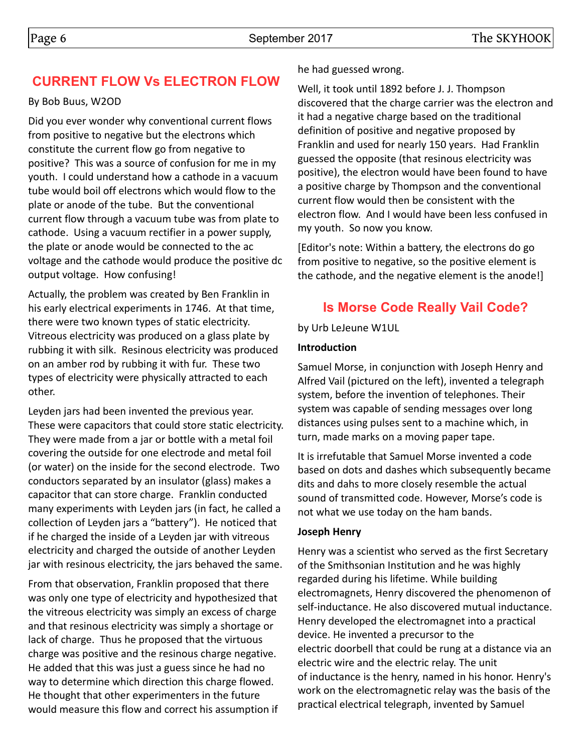# **CURRENT FLOW Vs ELECTRON FLOW**

### By Bob Buus, W2OD

Did you ever wonder why conventional current flows from positive to negative but the electrons which constitute the current flow go from negative to positive? This was a source of confusion for me in my youth. I could understand how a cathode in a vacuum tube would boil off electrons which would flow to the plate or anode of the tube. But the conventional current flow through a vacuum tube was from plate to cathode. Using a vacuum rectifier in a power supply, the plate or anode would be connected to the ac voltage and the cathode would produce the positive dc output voltage. How confusing!

Actually, the problem was created by Ben Franklin in his early electrical experiments in 1746. At that time, there were two known types of static electricity. Vitreous electricity was produced on a glass plate by rubbing it with silk. Resinous electricity was produced on an amber rod by rubbing it with fur. These two types of electricity were physically attracted to each other.

Leyden jars had been invented the previous year. These were capacitors that could store static electricity. They were made from a jar or bottle with a metal foil covering the outside for one electrode and metal foil (or water) on the inside for the second electrode. Two conductors separated by an insulator (glass) makes a capacitor that can store charge. Franklin conducted many experiments with Leyden jars (in fact, he called a collection of Leyden jars a "battery"). He noticed that if he charged the inside of a Leyden jar with vitreous electricity and charged the outside of another Leyden jar with resinous electricity, the jars behaved the same.

From that observation, Franklin proposed that there was only one type of electricity and hypothesized that the vitreous electricity was simply an excess of charge and that resinous electricity was simply a shortage or lack of charge. Thus he proposed that the virtuous charge was positive and the resinous charge negative. He added that this was just a guess since he had no way to determine which direction this charge flowed. He thought that other experimenters in the future would measure this flow and correct his assumption if

### he had guessed wrong.

Well, it took until 1892 before J. J. Thompson discovered that the charge carrier was the electron and it had a negative charge based on the traditional definition of positive and negative proposed by Franklin and used for nearly 150 years. Had Franklin guessed the opposite (that resinous electricity was positive), the electron would have been found to have a positive charge by Thompson and the conventional current flow would then be consistent with the electron flow. And I would have been less confused in my youth. So now you know.

[Editor's note: Within a battery, the electrons do go from positive to negative, so the positive element is the cathode, and the negative element is the anode!]

## **Is Morse Code Really Vail Code?**

by Urb LeJeune W1UL

### **Introduction**

Samuel Morse, in conjunction with Joseph Henry and Alfred Vail (pictured on the left), invented a telegraph system, before the invention of telephones. Their system was capable of sending messages over long distances using pulses sent to a machine which, in turn, made marks on a moving paper tape.

It is irrefutable that Samuel Morse invented a code based on dots and dashes which subsequently became dits and dahs to more closely resemble the actual sound of transmitted code. However, Morse's code is not what we use today on the ham bands.

### **Joseph Henry**

Henry was a scientist who served as the first Secretary of the Smithsonian Institution and he was highly regarded during his lifetime. While building electromagnets, Henry discovered the phenomenon of self-inductance. He also discovered mutual inductance. Henry developed the electromagnet into a practical device. He invented a precursor to the electric doorbell that could be rung at a distance via an electric wire and the electric relay. The unit of inductance is the henry, named in his honor. Henry's work on the electromagnetic relay was the basis of the practical electrical telegraph, invented by Samuel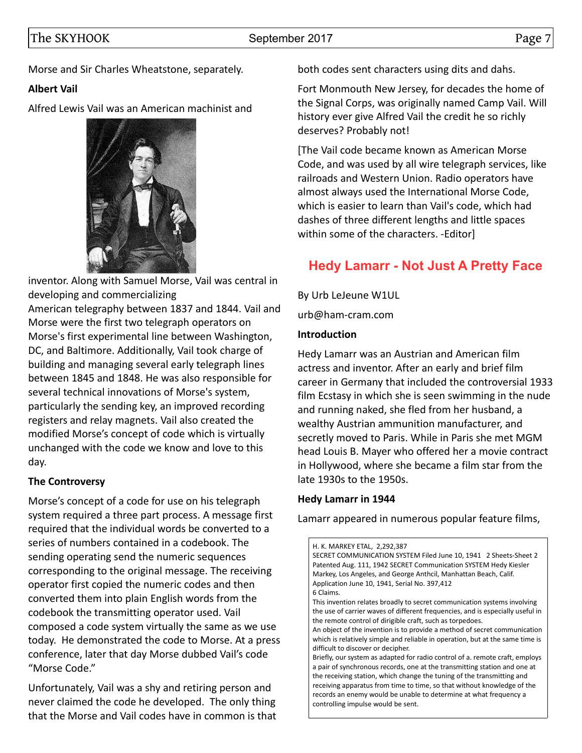Morse and Sir Charles Wheatstone, separately.

### **Albert Vail**

Alfred Lewis Vail was an American machinist and



inventor. Along with Samuel Morse, Vail was central in developing and commercializing

American telegraphy between 1837 and 1844. Vail and Morse were the first two telegraph operators on Morse's first experimental line between Washington, DC, and Baltimore. Additionally, Vail took charge of building and managing several early telegraph lines between 1845 and 1848. He was also responsible for several technical innovations of Morse's system, particularly the sending key, an improved recording registers and relay magnets. Vail also created the modified Morse's concept of code which is virtually unchanged with the code we know and love to this day.

### **The Controversy**

Morse's concept of a code for use on his telegraph system required a three part process. A message first required that the individual words be converted to a series of numbers contained in a codebook. The sending operating send the numeric sequences corresponding to the original message. The receiving operator first copied the numeric codes and then converted them into plain English words from the codebook the transmitting operator used. Vail composed a code system virtually the same as we use today. He demonstrated the code to Morse. At a press conference, later that day Morse dubbed Vail's code "Morse Code."

Unfortunately, Vail was a shy and retiring person and never claimed the code he developed. The only thing that the Morse and Vail codes have in common is that both codes sent characters using dits and dahs.

Fort Monmouth New Jersey, for decades the home of the Signal Corps, was originally named Camp Vail. Will history ever give Alfred Vail the credit he so richly deserves? Probably not!

[The Vail code became known as American Morse Code, and was used by all wire telegraph services, like railroads and Western Union. Radio operators have almost always used the International Morse Code, which is easier to learn than Vail's code, which had dashes of three different lengths and little spaces within some of the characters. -Editor]

# **Hedy Lamarr - Not Just A Pretty Face**

By Urb LeJeune W1UL

urb@ham-cram.com

### **Introduction**

Hedy Lamarr was an Austrian and American film actress and inventor. After an early and brief film career in Germany that included the controversial 1933 film Ecstasy in which she is seen swimming in the nude and running naked, she fled from her husband, a wealthy Austrian ammunition manufacturer, and secretly moved to Paris. While in Paris she met MGM head Louis B. Mayer who offered her a movie contract in Hollywood, where she became a film star from the late 1930s to the 1950s.

### **Hedy Lamarr in 1944**

Lamarr appeared in numerous popular feature films,

H. K. MARKEY ETAL, 2,292,387 SECRET COMMUNICATION SYSTEM Filed June 10, 1941 2 Sheets-Sheet 2 Patented Aug. 111, 1942 SECRET Communication SYSTEM Hedy Kiesler Markey, Los Angeles, and George Anthcil, Manhattan Beach, Calif. Application June 10, 1941, Serial No. 397,412 6 Claims. This invention relates broadly to secret communication systems involving the use of carrier waves of different frequencies, and is especially useful in the remote control of dirigible craft, such as torpedoes. An object of the invention is to provide a method of secret communication which is relatively simple and reliable in operation, but at the same time is difficult to discover or decipher. Briefly, our system as adapted for radio control of a. remote craft, employs a pair of synchronous records, one at the transmitting station and one at the receiving station, which change the tuning of the transmitting and receiving apparatus from time to time, so that without knowledge of the records an enemy would be unable to determine at what frequency a controlling impulse would be sent.